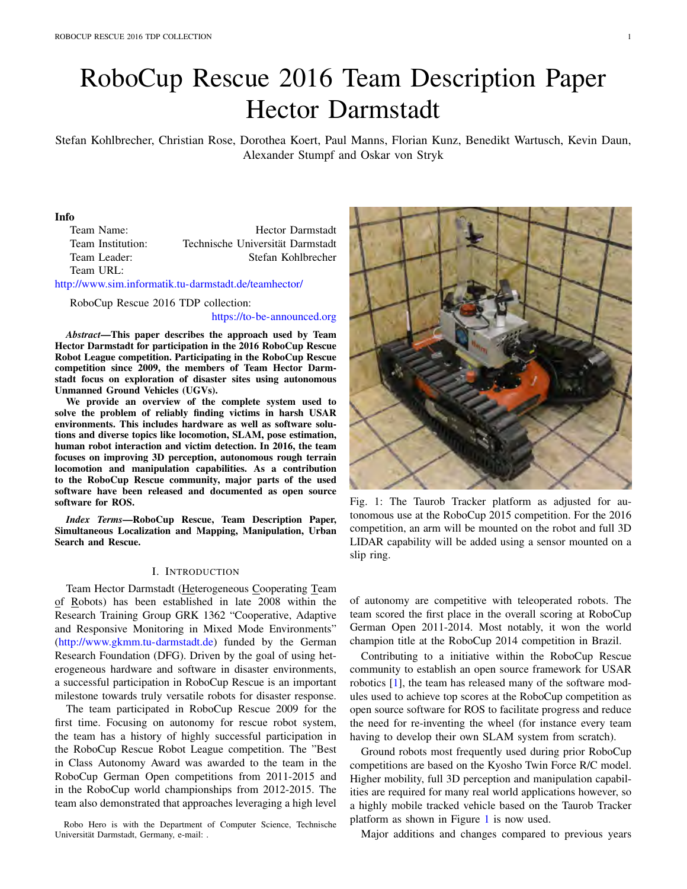# RoboCup Rescue 2016 Team Description Paper Hector Darmstadt

Stefan Kohlbrecher, Christian Rose, Dorothea Koert, Paul Manns, Florian Kunz, Benedikt Wartusch, Kevin Daun, Alexander Stumpf and Oskar von Stryk

#### Info

Team Name: Hector Darmstadt Team Institution: Technische Universität Darmstadt Team Leader: Stefan Kohlbrecher Team URL:

http://www.sim.informatik.tu-darmstadt.de/teamhector/

RoboCup Rescue 2016 TDP collection:

https://to-be-announced.org

*Abstract*—This paper describes the approach used by Team Hector Darmstadt for participation in the 2016 RoboCup Rescue Robot League competition. Participating in the RoboCup Rescue competition since 2009, the members of Team Hector Darmstadt focus on exploration of disaster sites using autonomous Unmanned Ground Vehicles (UGVs).

We provide an overview of the complete system used to solve the problem of reliably finding victims in harsh USAR environments. This includes hardware as well as software solutions and diverse topics like locomotion, SLAM, pose estimation, human robot interaction and victim detection. In 2016, the team focuses on improving 3D perception, autonomous rough terrain locomotion and manipulation capabilities. As a contribution to the RoboCup Rescue community, major parts of the used software have been released and documented as open source software for ROS.

*Index Terms*—RoboCup Rescue, Team Description Paper, Simultaneous Localization and Mapping, Manipulation, Urban Search and Rescue.

## I. INTRODUCTION

Team Hector Darmstadt (Heterogeneous Cooperating Team of Robots) has been established in late 2008 within the Research Training Group GRK 1362 "Cooperative, Adaptive and Responsive Monitoring in Mixed Mode Environments" (http://www.gkmm.tu-darmstadt.de) funded by the German Research Foundation (DFG). Driven by the goal of using heterogeneous hardware and software in disaster environments, a successful participation in RoboCup Rescue is an important milestone towards truly versatile robots for disaster response.

The team participated in RoboCup Rescue 2009 for the first time. Focusing on autonomy for rescue robot system, the team has a history of highly successful participation in the RoboCup Rescue Robot League competition. The "Best in Class Autonomy Award was awarded to the team in the RoboCup German Open competitions from 2011-2015 and in the RoboCup world championships from 2012-2015. The team also demonstrated that approaches leveraging a high level

Robo Hero is with the Department of Computer Science, Technische Universität Darmstadt, Germany, e-mail: .



Fig. 1: The Taurob Tracker platform as adjusted for autonomous use at the RoboCup 2015 competition. For the 2016 competition, an arm will be mounted on the robot and full 3D LIDAR capability will be added using a sensor mounted on a slip ring.

of autonomy are competitive with teleoperated robots. The team scored the first place in the overall scoring at RoboCup German Open 2011-2014. Most notably, it won the world champion title at the RoboCup 2014 competition in Brazil.

Contributing to a initiative within the RoboCup Rescue community to establish an open source framework for USAR robotics [1], the team has released many of the software modules used to achieve top scores at the RoboCup competition as open source software for ROS to facilitate progress and reduce the need for re-inventing the wheel (for instance every team having to develop their own SLAM system from scratch).

Ground robots most frequently used during prior RoboCup competitions are based on the Kyosho Twin Force R/C model. Higher mobility, full 3D perception and manipulation capabilities are required for many real world applications however, so a highly mobile tracked vehicle based on the Taurob Tracker platform as shown in Figure 1 is now used.

Major additions and changes compared to previous years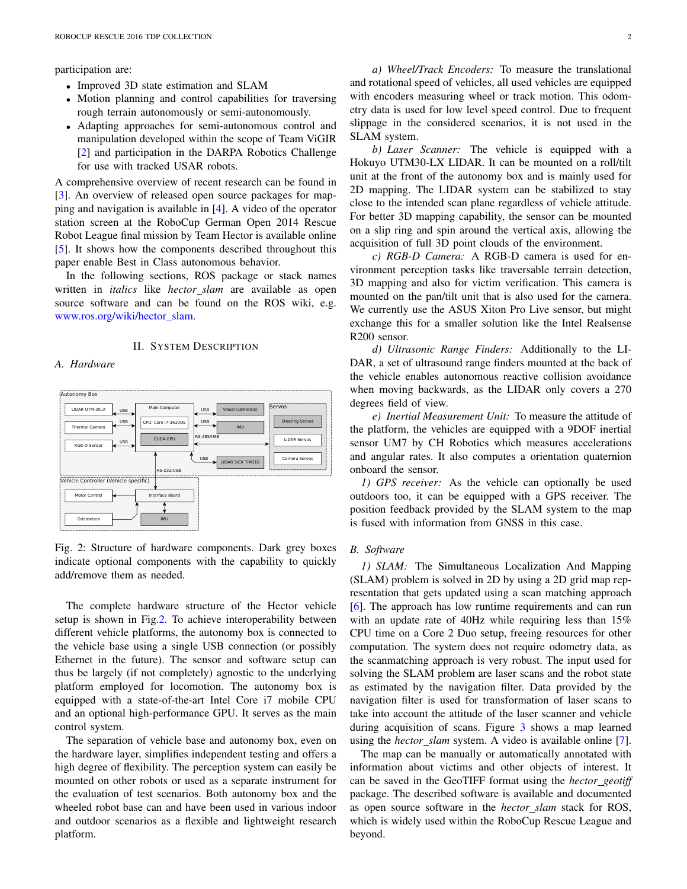participation are:

- *•* Improved 3D state estimation and SLAM
- *•* Motion planning and control capabilities for traversing rough terrain autonomously or semi-autonomously.
- *•* Adapting approaches for semi-autonomous control and manipulation developed within the scope of Team ViGIR [2] and participation in the DARPA Robotics Challenge for use with tracked USAR robots.

A comprehensive overview of recent research can be found in [3]. An overview of released open source packages for mapping and navigation is available in [4]. A video of the operator station screen at the RoboCup German Open 2014 Rescue Robot League final mission by Team Hector is available online [5]. It shows how the components described throughout this paper enable Best in Class autonomous behavior.

In the following sections, ROS package or stack names written in *italics* like *hector slam* are available as open source software and can be found on the ROS wiki, e.g. www.ros.org/wiki/hector slam.

## II. SYSTEM DESCRIPTION

## *A. Hardware*



Fig. 2: Structure of hardware components. Dark grey boxes indicate optional components with the capability to quickly add/remove them as needed.

The complete hardware structure of the Hector vehicle setup is shown in Fig.2. To achieve interoperability between different vehicle platforms, the autonomy box is connected to the vehicle base using a single USB connection (or possibly Ethernet in the future). The sensor and software setup can thus be largely (if not completely) agnostic to the underlying platform employed for locomotion. The autonomy box is equipped with a state-of-the-art Intel Core i7 mobile CPU and an optional high-performance GPU. It serves as the main control system.

The separation of vehicle base and autonomy box, even on the hardware layer, simplifies independent testing and offers a high degree of flexibility. The perception system can easily be mounted on other robots or used as a separate instrument for the evaluation of test scenarios. Both autonomy box and the wheeled robot base can and have been used in various indoor and outdoor scenarios as a flexible and lightweight research platform.

*a) Wheel/Track Encoders:* To measure the translational and rotational speed of vehicles, all used vehicles are equipped with encoders measuring wheel or track motion. This odometry data is used for low level speed control. Due to frequent slippage in the considered scenarios, it is not used in the SLAM system.

*b) Laser Scanner:* The vehicle is equipped with a Hokuyo UTM30-LX LIDAR. It can be mounted on a roll/tilt unit at the front of the autonomy box and is mainly used for 2D mapping. The LIDAR system can be stabilized to stay close to the intended scan plane regardless of vehicle attitude. For better 3D mapping capability, the sensor can be mounted on a slip ring and spin around the vertical axis, allowing the acquisition of full 3D point clouds of the environment.

*c) RGB-D Camera:* A RGB-D camera is used for environment perception tasks like traversable terrain detection, 3D mapping and also for victim verification. This camera is mounted on the pan/tilt unit that is also used for the camera. We currently use the ASUS Xiton Pro Live sensor, but might exchange this for a smaller solution like the Intel Realsense R200 sensor.

*d) Ultrasonic Range Finders:* Additionally to the LI-DAR, a set of ultrasound range finders mounted at the back of the vehicle enables autonomous reactive collision avoidance when moving backwards, as the LIDAR only covers a 270 degrees field of view.

*e) Inertial Measurement Unit:* To measure the attitude of the platform, the vehicles are equipped with a 9DOF inertial sensor UM7 by CH Robotics which measures accelerations and angular rates. It also computes a orientation quaternion onboard the sensor.

*1) GPS receiver:* As the vehicle can optionally be used outdoors too, it can be equipped with a GPS receiver. The position feedback provided by the SLAM system to the map is fused with information from GNSS in this case.

#### *B. Software*

*1) SLAM:* The Simultaneous Localization And Mapping (SLAM) problem is solved in 2D by using a 2D grid map representation that gets updated using a scan matching approach [6]. The approach has low runtime requirements and can run with an update rate of 40Hz while requiring less than 15% CPU time on a Core 2 Duo setup, freeing resources for other computation. The system does not require odometry data, as the scanmatching approach is very robust. The input used for solving the SLAM problem are laser scans and the robot state as estimated by the navigation filter. Data provided by the navigation filter is used for transformation of laser scans to take into account the attitude of the laser scanner and vehicle during acquisition of scans. Figure 3 shows a map learned using the *hector\_slam* system. A video is available online [7].

The map can be manually or automatically annotated with information about victims and other objects of interest. It can be saved in the GeoTIFF format using the *hector geotiff* package. The described software is available and documented as open source software in the *hector slam* stack for ROS, which is widely used within the RoboCup Rescue League and beyond.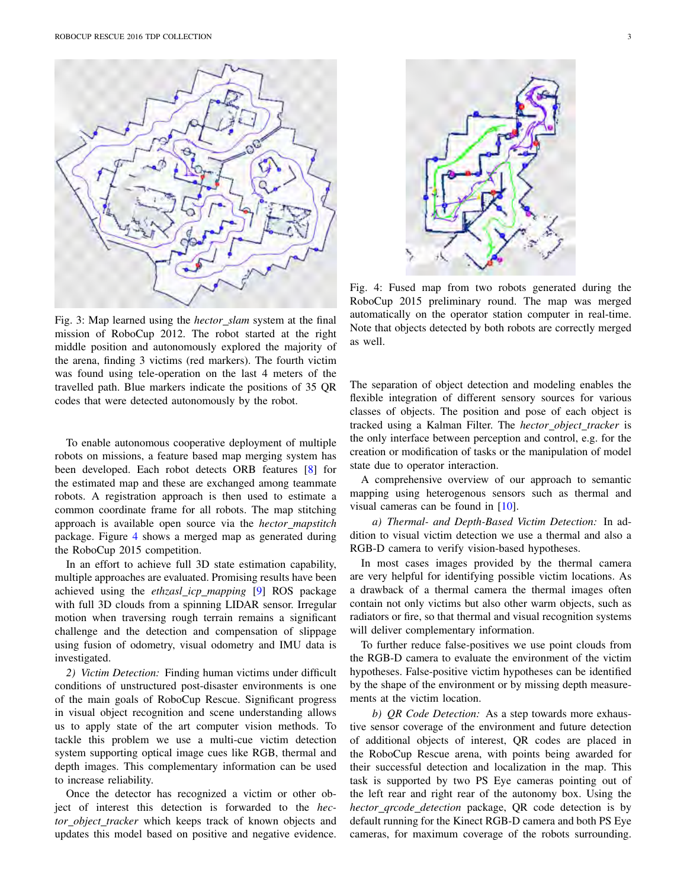

Fig. 3: Map learned using the *hector slam* system at the final mission of RoboCup 2012. The robot started at the right middle position and autonomously explored the majority of the arena, finding 3 victims (red markers). The fourth victim was found using tele-operation on the last 4 meters of the travelled path. Blue markers indicate the positions of 35 QR codes that were detected autonomously by the robot.

To enable autonomous cooperative deployment of multiple robots on missions, a feature based map merging system has been developed. Each robot detects ORB features [8] for the estimated map and these are exchanged among teammate robots. A registration approach is then used to estimate a common coordinate frame for all robots. The map stitching approach is available open source via the *hector mapstitch* package. Figure 4 shows a merged map as generated during the RoboCup 2015 competition.

In an effort to achieve full 3D state estimation capability, multiple approaches are evaluated. Promising results have been achieved using the *ethzasl icp mapping* [9] ROS package with full 3D clouds from a spinning LIDAR sensor. Irregular motion when traversing rough terrain remains a significant challenge and the detection and compensation of slippage using fusion of odometry, visual odometry and IMU data is investigated.

*2) Victim Detection:* Finding human victims under difficult conditions of unstructured post-disaster environments is one of the main goals of RoboCup Rescue. Significant progress in visual object recognition and scene understanding allows us to apply state of the art computer vision methods. To tackle this problem we use a multi-cue victim detection system supporting optical image cues like RGB, thermal and depth images. This complementary information can be used to increase reliability.

Once the detector has recognized a victim or other object of interest this detection is forwarded to the *hector object tracker* which keeps track of known objects and updates this model based on positive and negative evidence.



Fig. 4: Fused map from two robots generated during the RoboCup 2015 preliminary round. The map was merged automatically on the operator station computer in real-time. Note that objects detected by both robots are correctly merged as well.

The separation of object detection and modeling enables the flexible integration of different sensory sources for various classes of objects. The position and pose of each object is tracked using a Kalman Filter. The *hector object tracker* is the only interface between perception and control, e.g. for the creation or modification of tasks or the manipulation of model state due to operator interaction.

A comprehensive overview of our approach to semantic mapping using heterogenous sensors such as thermal and visual cameras can be found in [10].

*a) Thermal- and Depth-Based Victim Detection:* In addition to visual victim detection we use a thermal and also a RGB-D camera to verify vision-based hypotheses.

In most cases images provided by the thermal camera are very helpful for identifying possible victim locations. As a drawback of a thermal camera the thermal images often contain not only victims but also other warm objects, such as radiators or fire, so that thermal and visual recognition systems will deliver complementary information.

To further reduce false-positives we use point clouds from the RGB-D camera to evaluate the environment of the victim hypotheses. False-positive victim hypotheses can be identified by the shape of the environment or by missing depth measurements at the victim location.

*b) QR Code Detection:* As a step towards more exhaustive sensor coverage of the environment and future detection of additional objects of interest, QR codes are placed in the RoboCup Rescue arena, with points being awarded for their successful detection and localization in the map. This task is supported by two PS Eye cameras pointing out of the left rear and right rear of the autonomy box. Using the *hector qrcode detection* package, QR code detection is by default running for the Kinect RGB-D camera and both PS Eye cameras, for maximum coverage of the robots surrounding.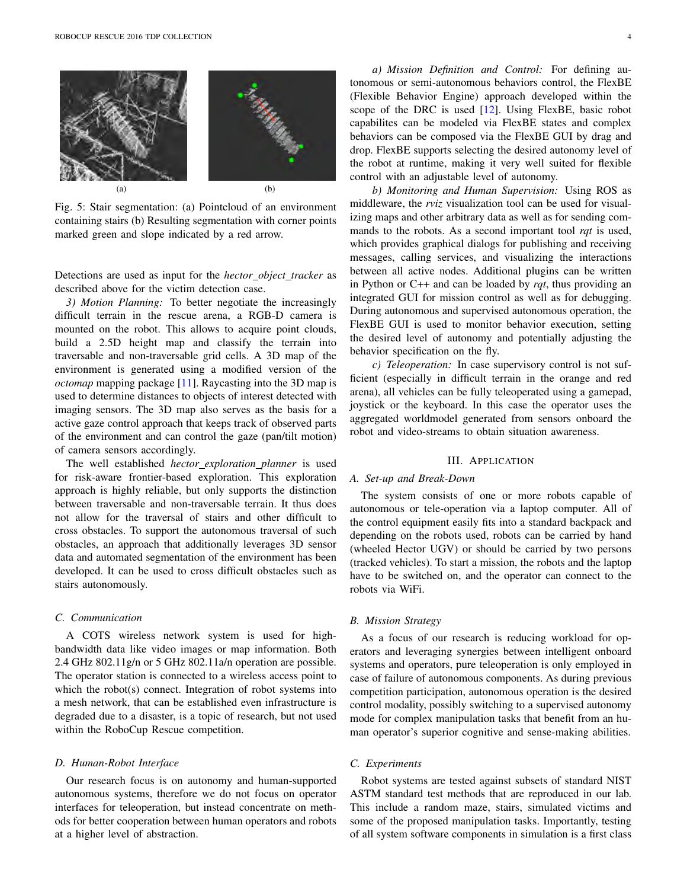

Fig. 5: Stair segmentation: (a) Pointcloud of an environment containing stairs (b) Resulting segmentation with corner points marked green and slope indicated by a red arrow.

Detections are used as input for the *hector object tracker* as described above for the victim detection case.

*3) Motion Planning:* To better negotiate the increasingly difficult terrain in the rescue arena, a RGB-D camera is mounted on the robot. This allows to acquire point clouds, build a 2.5D height map and classify the terrain into traversable and non-traversable grid cells. A 3D map of the environment is generated using a modified version of the *octomap* mapping package [11]. Raycasting into the 3D map is used to determine distances to objects of interest detected with imaging sensors. The 3D map also serves as the basis for a active gaze control approach that keeps track of observed parts of the environment and can control the gaze (pan/tilt motion) of camera sensors accordingly.

The well established *hector exploration planner* is used for risk-aware frontier-based exploration. This exploration approach is highly reliable, but only supports the distinction between traversable and non-traversable terrain. It thus does not allow for the traversal of stairs and other difficult to cross obstacles. To support the autonomous traversal of such obstacles, an approach that additionally leverages 3D sensor data and automated segmentation of the environment has been developed. It can be used to cross difficult obstacles such as stairs autonomously.

## *C. Communication*

A COTS wireless network system is used for highbandwidth data like video images or map information. Both 2.4 GHz 802.11g/n or 5 GHz 802.11a/n operation are possible. The operator station is connected to a wireless access point to which the robot(s) connect. Integration of robot systems into a mesh network, that can be established even infrastructure is degraded due to a disaster, is a topic of research, but not used within the RoboCup Rescue competition.

#### *D. Human-Robot Interface*

Our research focus is on autonomy and human-supported autonomous systems, therefore we do not focus on operator interfaces for teleoperation, but instead concentrate on methods for better cooperation between human operators and robots at a higher level of abstraction.

*a) Mission Definition and Control:* For defining autonomous or semi-autonomous behaviors control, the FlexBE (Flexible Behavior Engine) approach developed within the scope of the DRC is used [12]. Using FlexBE, basic robot capabilites can be modeled via FlexBE states and complex behaviors can be composed via the FlexBE GUI by drag and drop. FlexBE supports selecting the desired autonomy level of the robot at runtime, making it very well suited for flexible control with an adjustable level of autonomy.

*b) Monitoring and Human Supervision:* Using ROS as middleware, the *rviz* visualization tool can be used for visualizing maps and other arbitrary data as well as for sending commands to the robots. As a second important tool *rqt* is used, which provides graphical dialogs for publishing and receiving messages, calling services, and visualizing the interactions between all active nodes. Additional plugins can be written in Python or C++ and can be loaded by *rqt*, thus providing an integrated GUI for mission control as well as for debugging. During autonomous and supervised autonomous operation, the FlexBE GUI is used to monitor behavior execution, setting the desired level of autonomy and potentially adjusting the behavior specification on the fly.

*c) Teleoperation:* In case supervisory control is not sufficient (especially in difficult terrain in the orange and red arena), all vehicles can be fully teleoperated using a gamepad, joystick or the keyboard. In this case the operator uses the aggregated worldmodel generated from sensors onboard the robot and video-streams to obtain situation awareness.

#### III. APPLICATION

#### *A. Set-up and Break-Down*

The system consists of one or more robots capable of autonomous or tele-operation via a laptop computer. All of the control equipment easily fits into a standard backpack and depending on the robots used, robots can be carried by hand (wheeled Hector UGV) or should be carried by two persons (tracked vehicles). To start a mission, the robots and the laptop have to be switched on, and the operator can connect to the robots via WiFi.

### *B. Mission Strategy*

As a focus of our research is reducing workload for operators and leveraging synergies between intelligent onboard systems and operators, pure teleoperation is only employed in case of failure of autonomous components. As during previous competition participation, autonomous operation is the desired control modality, possibly switching to a supervised autonomy mode for complex manipulation tasks that benefit from an human operator's superior cognitive and sense-making abilities.

#### *C. Experiments*

Robot systems are tested against subsets of standard NIST ASTM standard test methods that are reproduced in our lab. This include a random maze, stairs, simulated victims and some of the proposed manipulation tasks. Importantly, testing of all system software components in simulation is a first class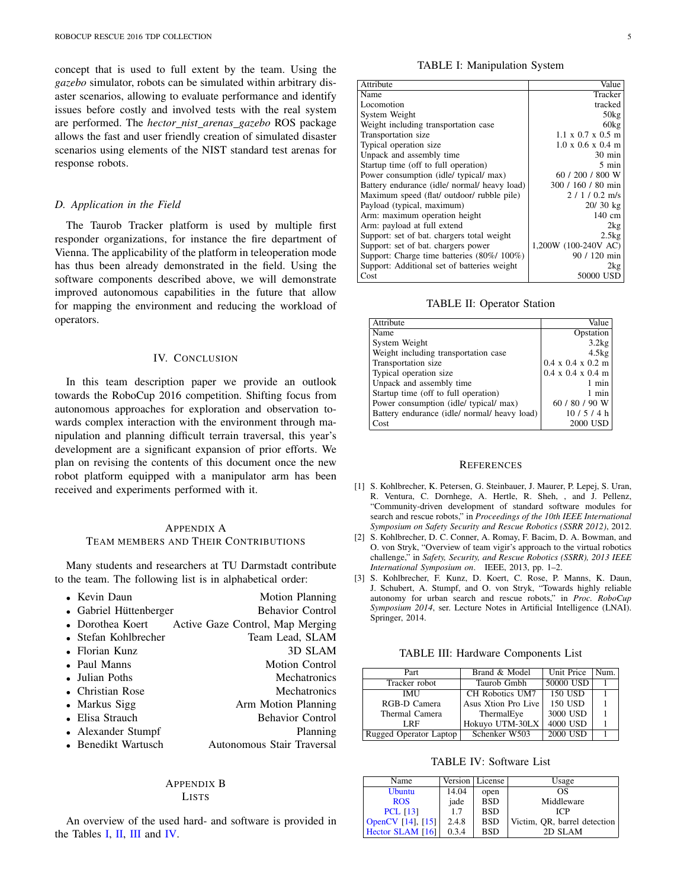concept that is used to full extent by the team. Using the *gazebo* simulator, robots can be simulated within arbitrary disaster scenarios, allowing to evaluate performance and identify issues before costly and involved tests with the real system are performed. The *hector nist arenas gazebo* ROS package allows the fast and user friendly creation of simulated disaster scenarios using elements of the NIST standard test arenas for response robots.

## *D. Application in the Field*

The Taurob Tracker platform is used by multiple first responder organizations, for instance the fire department of Vienna. The applicability of the platform in teleoperation mode has thus been already demonstrated in the field. Using the software components described above, we will demonstrate improved autonomous capabilities in the future that allow for mapping the environment and reducing the workload of operators.

## IV. CONCLUSION

In this team description paper we provide an outlook towards the RoboCup 2016 competition. Shifting focus from autonomous approaches for exploration and observation towards complex interaction with the environment through manipulation and planning difficult terrain traversal, this year's development are a significant expansion of prior efforts. We plan on revising the contents of this document once the new robot platform equipped with a manipulator arm has been received and experiments performed with it.

## APPENDIX A TEAM MEMBERS AND THEIR CONTRIBUTIONS

Many students and researchers at TU Darmstadt contribute to the team. The following list is in alphabetical order:

| • Kevin Daun           | <b>Motion Planning</b>           |
|------------------------|----------------------------------|
| • Gabriel Hüttenberger | <b>Behavior Control</b>          |
| • Dorothea Koert       | Active Gaze Control, Map Merging |
| • Stefan Kohlbrecher   | Team Lead, SLAM                  |
| • Florian Kunz         | 3D SLAM                          |
| • Paul Manns           | <b>Motion Control</b>            |
| • Julian Poths         | <b>Mechatronics</b>              |
| • Christian Rose       | <b>Mechatronics</b>              |
| • Markus Sigg          | Arm Motion Planning              |
| • Elisa Strauch        | <b>Behavior Control</b>          |
| • Alexander Stumpf     | <b>Planning</b>                  |
| • Benedikt Wartusch    | Autonomous Stair Traversal       |
|                        |                                  |

### APPENDIX B LISTS

An overview of the used hard- and software is provided in the Tables I, II, III and IV.

TABLE I: Manipulation System

| Attribute                                    | Value                                 |
|----------------------------------------------|---------------------------------------|
| Name                                         | Tracker                               |
| Locomotion                                   | tracked                               |
| System Weight                                | 50kg                                  |
| Weight including transportation case         | 60kg                                  |
| Transportation size                          | $1.1 \times 0.7 \times 0.5$ m         |
| Typical operation size                       | $1.0 \times 0.6 \times 0.4 \text{ m}$ |
| Unpack and assembly time                     | $30 \text{ min}$                      |
| Startup time (off to full operation)         | 5 min                                 |
| Power consumption (idle/ typical/ max)       | 60 / 200 / 800 W                      |
| Battery endurance (idle/ normal/ heavy load) | 300 / 160 / 80 min                    |
| Maximum speed (flat/ outdoor/ rubble pile)   | $2/1/0.2$ m/s                         |
| Payload (typical, maximum)                   | $20/30$ kg                            |
| Arm: maximum operation height                | 140 cm                                |
| Arm: payload at full extend                  | 2kg                                   |
| Support: set of bat. chargers total weight   | 2.5kg                                 |
| Support: set of bat. chargers power          | 1,200W (100-240V AC)                  |
| Support: Charge time batteries (80%/100%)    | 90 / 120 min                          |
| Support: Additional set of batteries weight  | 2kg                                   |
| Cost                                         | 50000 USD                             |

TABLE II: Operator Station

| Attribute                                    | Value                                 |
|----------------------------------------------|---------------------------------------|
| Name                                         | Opstation                             |
| System Weight                                | 3.2kg                                 |
| Weight including transportation case         | 4.5kg                                 |
| Transportation size                          | $0.4 \times 0.4 \times 0.2 \text{ m}$ |
| Typical operation size                       | $0.4 \times 0.4 \times 0.4 \text{ m}$ |
| Unpack and assembly time                     | 1 min                                 |
| Startup time (off to full operation)         | 1 min                                 |
| Power consumption (idle/ typical/ max)       | 60 / 80 / 90 W                        |
| Battery endurance (idle/ normal/ heavy load) | 10/5/4 h                              |
| Cost                                         | 2000 USD                              |

#### **REFERENCES**

- [1] S. Kohlbrecher, K. Petersen, G. Steinbauer, J. Maurer, P. Lepej, S. Uran, R. Ventura, C. Dornhege, A. Hertle, R. Sheh, , and J. Pellenz, "Community-driven development of standard software modules for search and rescue robots," in *Proceedings of the 10th IEEE International Symposium on Safety Security and Rescue Robotics (SSRR 2012)*, 2012.
- [2] S. Kohlbrecher, D. C. Conner, A. Romay, F. Bacim, D. A. Bowman, and O. von Stryk, "Overview of team vigir's approach to the virtual robotics challenge," in *Safety, Security, and Rescue Robotics (SSRR), 2013 IEEE International Symposium on*. IEEE, 2013, pp. 1–2.
- [3] S. Kohlbrecher, F. Kunz, D. Koert, C. Rose, P. Manns, K. Daun, J. Schubert, A. Stumpf, and O. von Stryk, "Towards highly reliable autonomy for urban search and rescue robots," in *Proc. RoboCup Symposium 2014*, ser. Lecture Notes in Artificial Intelligence (LNAI). Springer, 2014.

TABLE III: Hardware Components List

| Part                   | Brand & Model       | Unit Price | Num. |
|------------------------|---------------------|------------|------|
| Tracker robot          | Taurob Gmbh         | 50000 USD  |      |
| <b>IMU</b>             | CH Robotics UM7     | 150 USD    |      |
| RGB-D Camera           | Asus Xtion Pro Live | 150 USD    |      |
| Thermal Camera         | ThermalEye          | 3000 USD   |      |
| LRF                    | Hokuyo UTM-30LX     | 4000 USD   |      |
| Rugged Operator Laptop | Schenker W503       | 2000 USD   |      |

TABLE IV: Software List

| Name                     |       | Version   License | Usage                        |
|--------------------------|-------|-------------------|------------------------------|
| <b>Ubuntu</b>            | 14.04 | open              | ΩS                           |
| <b>ROS</b>               | jade  | <b>BSD</b>        | Middleware                   |
| <b>PCL</b> [13]          | 1.7   | <b>BSD</b>        | ICP                          |
| <b>OpenCV</b> [14], [15] | 2.4.8 | <b>BSD</b>        | Victim, QR, barrel detection |
| Hector SLAM [16]         | 0.3.4 | <b>BSD</b>        | 2D SLAM                      |